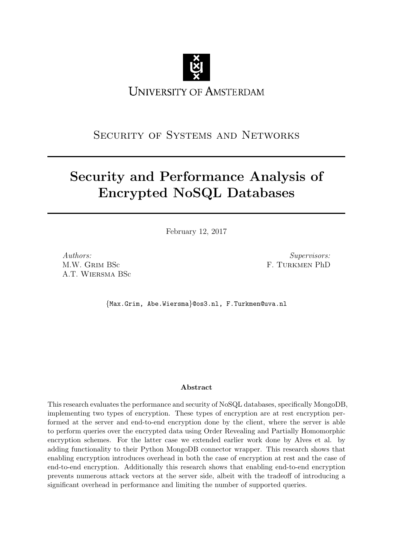<span id="page-0-0"></span>

# SECURITY OF SYSTEMS AND NETWORKS

# Security and Performance Analysis of Encrypted NoSQL Databases

February 12, 2017

Authors: M.W. Grim BSc A.T. Wiersma BSc

Supervisors: F. Turkmen PhD

{Max.Grim, Abe.Wiersma}@os3.nl, F.Turkmen@uva.nl

### Abstract

This research evaluates the performance and security of NoSQL databases, specifically MongoDB, implementing two types of encryption. These types of encryption are at rest encryption performed at the server and end-to-end encryption done by the client, where the server is able to perform queries over the encrypted data using Order Revealing and Partially Homomorphic encryption schemes. For the latter case we extended earlier work done by Alves et al. by adding functionality to their Python MongoDB connector wrapper. This research shows that enabling encryption introduces overhead in both the case of encryption at rest and the case of end-to-end encryption. Additionally this research shows that enabling end-to-end encryption prevents numerous attack vectors at the server side, albeit with the tradeoff of introducing a significant overhead in performance and limiting the number of supported queries.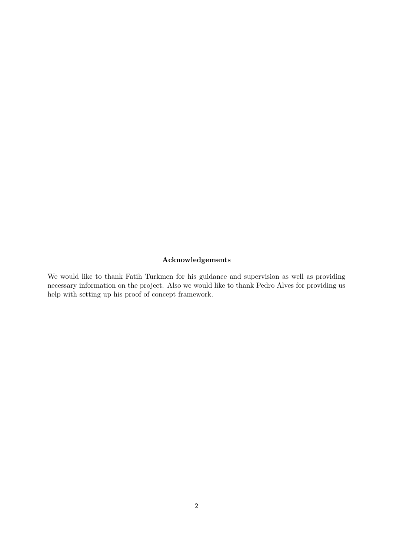### Acknowledgements

We would like to thank Fatih Turkmen for his guidance and supervision as well as providing necessary information on the project. Also we would like to thank Pedro Alves for providing us help with setting up his proof of concept framework.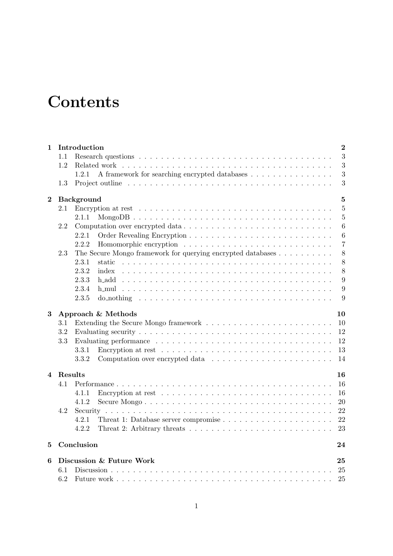# **Contents**

| Introduction<br>$\mathbf{1}$ |         |                                                                                                 |                  |  |  |  |
|------------------------------|---------|-------------------------------------------------------------------------------------------------|------------------|--|--|--|
|                              | 1.1     |                                                                                                 | 3                |  |  |  |
|                              | 1.2     | Related work                                                                                    | $\sqrt{3}$       |  |  |  |
|                              |         | 1.2.1<br>A framework for searching encrypted databases                                          | 3                |  |  |  |
|                              | 1.3     |                                                                                                 | 3                |  |  |  |
| $\bf{2}$                     |         | <b>Background</b>                                                                               | $\overline{5}$   |  |  |  |
|                              | 2.1     |                                                                                                 | $\overline{5}$   |  |  |  |
|                              |         | 2.1.1                                                                                           | $\overline{5}$   |  |  |  |
|                              | 2.2     |                                                                                                 | 6                |  |  |  |
|                              |         | 2.2.1                                                                                           | $\boldsymbol{6}$ |  |  |  |
|                              |         | 2.2.2                                                                                           | $\overline{7}$   |  |  |  |
|                              | 2.3     | The Secure Mongo framework for querying encrypted databases                                     | 8                |  |  |  |
|                              |         | 2.3.1<br>static                                                                                 | 8                |  |  |  |
|                              |         | 2.3.2<br>index                                                                                  | 8                |  |  |  |
|                              |         | 2.3.3<br>h_add                                                                                  | 9                |  |  |  |
|                              |         | 2.3.4<br>h_mul                                                                                  | 9                |  |  |  |
|                              |         | 2.3.5                                                                                           | 9                |  |  |  |
| $\bf{3}$                     |         | Approach & Methods                                                                              | 10               |  |  |  |
|                              | $3.1\,$ |                                                                                                 | 10               |  |  |  |
|                              | 3.2     |                                                                                                 | 12               |  |  |  |
|                              | 3.3     |                                                                                                 | 12               |  |  |  |
|                              |         | 3.3.1                                                                                           | 13               |  |  |  |
|                              |         | 3.3.2                                                                                           | 14               |  |  |  |
| 4                            | Results |                                                                                                 | 16               |  |  |  |
|                              | 4.1     |                                                                                                 | 16               |  |  |  |
|                              |         | Encryption at rest $\dots \dots \dots \dots \dots \dots \dots \dots \dots \dots \dots$<br>4.1.1 | 16               |  |  |  |
|                              |         | 4.1.2                                                                                           | 20               |  |  |  |
|                              | 4.2     |                                                                                                 | 22               |  |  |  |
|                              |         | 4.2.1                                                                                           | 22               |  |  |  |
|                              |         | 4.2.2                                                                                           | 23               |  |  |  |
| 5                            |         | Conclusion                                                                                      | 24               |  |  |  |
| 6                            |         | Discussion & Future Work                                                                        | 25               |  |  |  |
|                              | 6.1     |                                                                                                 | 25               |  |  |  |
|                              | 6.2     |                                                                                                 | 25               |  |  |  |
|                              |         |                                                                                                 |                  |  |  |  |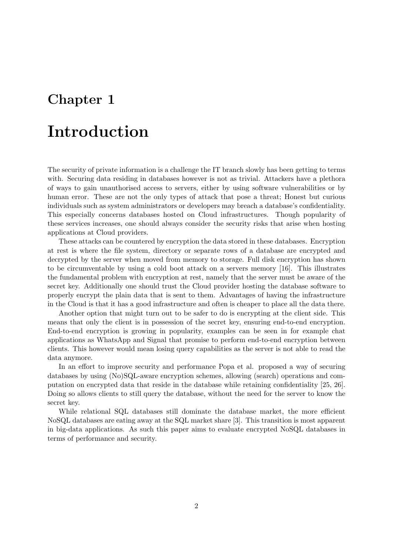# <span id="page-3-0"></span>Introduction

The security of private information is a challenge the IT branch slowly has been getting to terms with. Securing data residing in databases however is not as trivial. Attackers have a plethora of ways to gain unauthorised access to servers, either by using software vulnerabilities or by human error. These are not the only types of attack that pose a threat; Honest but curious individuals such as system administrators or developers may breach a database's confidentiality. This especially concerns databases hosted on Cloud infrastructures. Though popularity of these services increases, one should always consider the security risks that arise when hosting applications at Cloud providers.

These attacks can be countered by encryption the data stored in these databases. Encryption at rest is where the file system, directory or separate rows of a database are encrypted and decrypted by the server when moved from memory to storage. Full disk encryption has shown to be circumventable by using a cold boot attack on a servers memory [\[16\]](#page-32-0). This illustrates the fundamental problem with encryption at rest, namely that the server must be aware of the secret key. Additionally one should trust the Cloud provider hosting the database software to properly encrypt the plain data that is sent to them. Advantages of having the infrastructure in the Cloud is that it has a good infrastructure and often is cheaper to place all the data there.

Another option that might turn out to be safer to do is encrypting at the client side. This means that only the client is in possession of the secret key, ensuring end-to-end encryption. End-to-end encryption is growing in popularity, examples can be seen in for example chat applications as WhatsApp and Signal that promise to perform end-to-end encryption between clients. This however would mean losing query capabilities as the server is not able to read the data anymore.

In an effort to improve security and performance Popa et al. proposed a way of securing databases by using (No)SQL-aware encryption schemes, allowing (search) operations and computation on encrypted data that reside in the database while retaining confidentiality [\[25,](#page-32-1) [26\]](#page-32-2). Doing so allows clients to still query the database, without the need for the server to know the secret key.

While relational SQL databases still dominate the database market, the more efficient NoSQL databases are eating away at the SQL market share [\[3\]](#page-31-0). This transition is most apparent in big-data applications. As such this paper aims to evaluate encrypted NoSQL databases in terms of performance and security.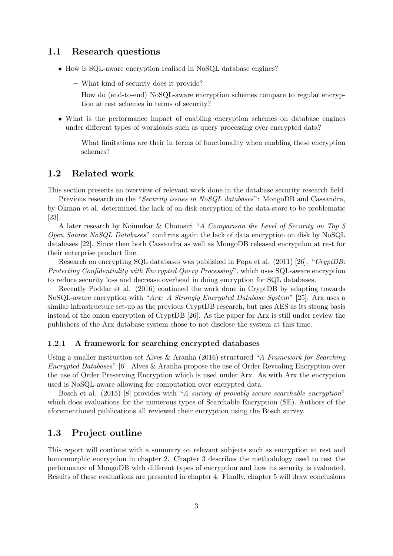### <span id="page-4-0"></span>1.1 Research questions

- How is SQL-aware encryption realised in NoSQL database engines?
	- What kind of security does it provide?
	- How do (end-to-end) NoSQL-aware encryption schemes compare to regular encryption at rest schemes in terms of security?
- What is the performance impact of enabling encryption schemes on database engines under different types of workloads such as query processing over encrypted data?
	- What limitations are their in terms of functionality when enabling these encryption schemes?

### <span id="page-4-1"></span>1.2 Related work

This section presents an overview of relevant work done in the database security research field.

Previous research on the "Security issues in NoSQL databases": MongoDB and Cassandra, by Okman et al. determined the lack of on-disk encryption of the data-store to be problematic [\[23\]](#page-32-3).

A later research by Noiumkar & Chomsiri "A Comparison the Level of Security on Top 5 Open Source NoSQL Databases" confirms again the lack of data encryption on disk by NoSQL databases [\[22\]](#page-32-4). Since then both Cassandra as well as MongoDB released encryption at rest for their enterprise product line.

Research on encrypting SQL databases was published in Popa et al. (2011) [\[26\]](#page-32-2). "CryptDB: Protecting Confidentiality with Encrypted Query Processing", which uses SQL-aware encryption to reduce security loss and decrease overhead in doing encryption for SQL databases.

Recently Poddar et al. (2016) continued the work done in CryptDB by adapting towards NoSQL-aware encryption with "Arx: A Strongly Encrypted Database System" [\[25\]](#page-32-1). Arx uses a similar infrastructure set-up as the previous CryptDB research, but uses AES as its strong basis instead of the onion encryption of CryptDB [\[26\]](#page-32-2). As the paper for Arx is still under review the publishers of the Arx database system chose to not disclose the system at this time.

#### <span id="page-4-2"></span>1.2.1 A framework for searching encrypted databases

Using a smaller instruction set Alves & Aranha (2016) structured "A Framework for Searching Encrypted Databases" [\[6\]](#page-31-1). Alves & Aranha propose the use of Order Revealing Encryption over the use of Order Preserving Encryption which is used under Arx. As with Arx the encryption used is NoSQL-aware allowing for computation over encrypted data.

Bosch et al. (2015) [\[8\]](#page-31-2) provides with "A survey of provably secure searchable encryption" which does evaluations for the numerous types of Searchable Encryption (SE). Authors of the aforementioned publications all reviewed their encryption using the Bosch survey.

## <span id="page-4-3"></span>1.3 Project outline

This report will continue with a summary on relevant subjects such as encryption at rest and homomorphic encryption in chapter [2.](#page-6-0) Chapter [3](#page-11-0) describes the methodology used to test the performance of MongoDB with different types of encryption and how its security is evaluated. Results of these evaluations are presented in chapter [4.](#page-17-0) Finally, chapter [5](#page-25-0) will draw conclusions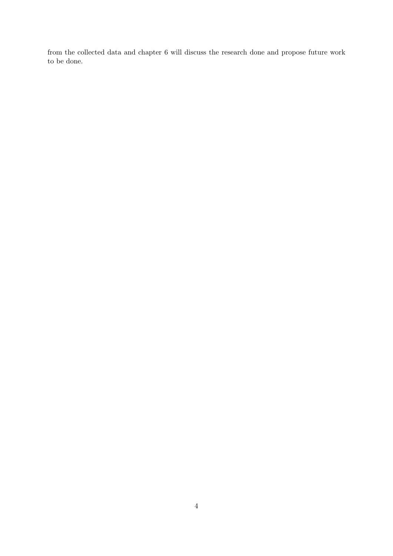from the collected data and chapter [6](#page-26-0) will discuss the research done and propose future work to be done.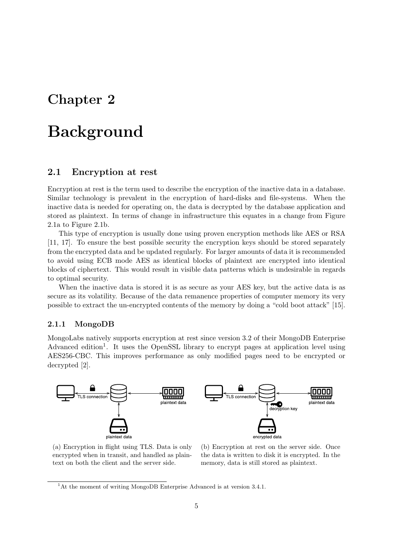# <span id="page-6-0"></span>**Background**

### <span id="page-6-1"></span>2.1 Encryption at rest

Encryption at rest is the term used to describe the encryption of the inactive data in a database. Similar technology is prevalent in the encryption of hard-disks and file-systems. When the inactive data is needed for operating on, the data is decrypted by the database application and stored as plaintext. In terms of change in infrastructure this equates in a change from Figure [2.1a](#page-6-3) to Figure [2.1b.](#page-6-3)

This type of encryption is usually done using proven encryption methods like AES or RSA [\[11,](#page-31-3) [17\]](#page-32-5). To ensure the best possible security the encryption keys should be stored separately from the encrypted data and be updated regularly. For larger amounts of data it is recommended to avoid using ECB mode AES as identical blocks of plaintext are encrypted into identical blocks of ciphertext. This would result in visible data patterns which is undesirable in regards to optimal security.

When the inactive data is stored it is as secure as your AES key, but the active data is as secure as its volatility. Because of the data remanence properties of computer memory its very possible to extract the un-encrypted contents of the memory by doing a "cold boot attack" [\[15\]](#page-31-4).

#### <span id="page-6-2"></span>2.1.1 MongoDB

MongoLabs natively supports encryption at rest since version 3.2 of their MongoDB Enterprise Advanced edition<sup>[1](#page-0-0)</sup>. It uses the OpenSSL library to encrypt pages at application level using AES256-CBC. This improves performance as only modified pages need to be encrypted or decrypted [\[2\]](#page-31-5).

<span id="page-6-3"></span>

(a) Encryption in flight using TLS. Data is only encrypted when in transit, and handled as plaintext on both the client and the server side.

(b) Encryption at rest on the server side. Once the data is written to disk it is encrypted. In the memory, data is still stored as plaintext.

<sup>&</sup>lt;sup>1</sup>At the moment of writing MongoDB Enterprise Advanced is at version 3.4.1.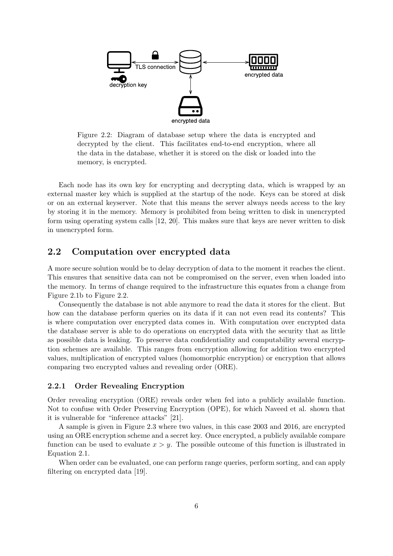<span id="page-7-2"></span>

Figure 2.2: Diagram of database setup where the data is encrypted and decrypted by the client. This facilitates end-to-end encryption, where all the data in the database, whether it is stored on the disk or loaded into the memory, is encrypted.

Each node has its own key for encrypting and decrypting data, which is wrapped by an external master key which is supplied at the startup of the node. Keys can be stored at disk or on an external keyserver. Note that this means the server always needs access to the key by storing it in the memory. Memory is prohibited from being written to disk in unencrypted form using operating system calls [\[12,](#page-31-6) [20\]](#page-32-6). This makes sure that keys are never written to disk in unencrypted form.

# <span id="page-7-0"></span>2.2 Computation over encrypted data

A more secure solution would be to delay decryption of data to the moment it reaches the client. This ensures that sensitive data can not be compromised on the server, even when loaded into the memory. In terms of change required to the infrastructure this equates from a change from Figure [2.1b](#page-6-3) to Figure [2.2.](#page-7-2)

Consequently the database is not able anymore to read the data it stores for the client. But how can the database perform queries on its data if it can not even read its contents? This is where computation over encrypted data comes in. With computation over encrypted data the database server is able to do operations on encrypted data with the security that as little as possible data is leaking. To preserve data confidentiality and computability several encryption schemes are available. This ranges from encryption allowing for addition two encrypted values, multiplication of encrypted values (homomorphic encryption) or encryption that allows comparing two encrypted values and revealing order (ORE).

#### <span id="page-7-1"></span>2.2.1 Order Revealing Encryption

Order revealing encryption (ORE) reveals order when fed into a publicly available function. Not to confuse with Order Preserving Encryption (OPE), for which Naveed et al. shown that it is vulnerable for "inference attacks" [\[21\]](#page-32-7).

A sample is given in Figure [2.3](#page-8-1) where two values, in this case 2003 and 2016, are encrypted using an ORE encryption scheme and a secret key. Once encrypted, a publicly available compare function can be used to evaluate  $x > y$ . The possible outcome of this function is illustrated in Equation [2.1.](#page-8-2)

When order can be evaluated, one can perform range queries, perform sorting, and can apply filtering on encrypted data [\[19\]](#page-32-8).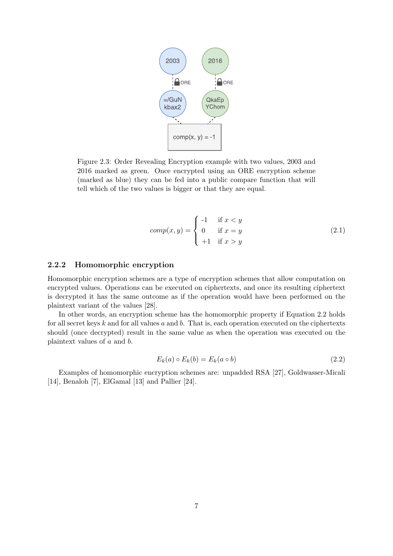<span id="page-8-1"></span>

Figure 2.3: Order Revealing Encryption example with two values, 2003 and 2016 marked as green. Once encrypted using an ORE encryption scheme (marked as blue) they can be fed into a public compare function that will tell which of the two values is bigger or that they are equal.

<span id="page-8-2"></span>
$$
comp(x, y) = \begin{cases} -1 & \text{if } x < y \\ 0 & \text{if } x = y \\ +1 & \text{if } x > y \end{cases}
$$
 (2.1)

#### <span id="page-8-0"></span>2.2.2 Homomorphic encryption

Homomorphic encryption schemes are a type of encryption schemes that allow computation on encrypted values. Operations can be executed on ciphertexts, and once its resulting ciphertext is decrypted it has the same outcome as if the operation would have been performed on the plaintext variant of the values [\[28\]](#page-32-9).

In other words, an encryption scheme has the homomorphic property if Equation [2.2](#page-8-3) holds for all secret keys  $k$  and for all values  $a$  and  $b$ . That is, each operation executed on the ciphertexts should (once decrypted) result in the same value as when the operation was executed on the plaintext values of a and b.

<span id="page-8-3"></span>
$$
E_k(a) \circ E_k(b) = E_k(a \circ b)
$$
\n
$$
(2.2)
$$

Examples of homomorphic encryption schemes are: unpadded RSA [\[27\]](#page-32-10), Goldwasser-Micali [\[14\]](#page-31-7), Benaloh [\[7\]](#page-31-8), ElGamal [\[13\]](#page-31-9) and Pallier [\[24\]](#page-32-11).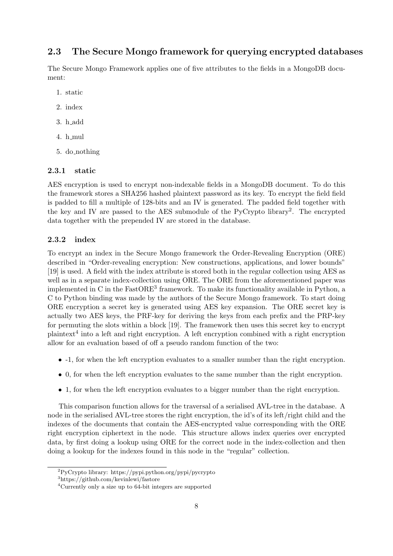# <span id="page-9-0"></span>2.3 The Secure Mongo framework for querying encrypted databases

The Secure Mongo Framework applies one of five attributes to the fields in a MongoDB document:

- 1. static
- 2. index
- 3. h add
- 4. h mul
- 5. do nothing

#### <span id="page-9-1"></span>2.3.1 static

AES encryption is used to encrypt non-indexable fields in a MongoDB document. To do this the framework stores a SHA256 hashed plaintext password as its key. To encrypt the field field is padded to fill a multiple of 128-bits and an IV is generated. The padded field together with the key and IV are passed to the AES submodule of the PyCrypto library<sup>[2](#page-0-0)</sup>. The encrypted data together with the prepended IV are stored in the database.

#### <span id="page-9-2"></span>2.3.2 index

To encrypt an index in the Secure Mongo framework the Order-Revealing Encryption (ORE) described in "Order-revealing encryption: New constructions, applications, and lower bounds" [\[19\]](#page-32-8) is used. A field with the index attribute is stored both in the regular collection using AES as well as in a separate index-collection using ORE. The ORE from the aforementioned paper was implemented in C in the  $FastORE<sup>3</sup>$  $FastORE<sup>3</sup>$  $FastORE<sup>3</sup>$  framework. To make its functionality available in Python, a C to Python binding was made by the authors of the Secure Mongo framework. To start doing ORE encryption a secret key is generated using AES key expansion. The ORE secret key is actually two AES keys, the PRF-key for deriving the keys from each prefix and the PRP-key for permuting the slots within a block [\[19\]](#page-32-8). The framework then uses this secret key to encrypt plaintext<sup>[4](#page-0-0)</sup> into a left and right encryption. A left encryption combined with a right encryption allow for an evaluation based of off a pseudo random function of the two:

- -1, for when the left encryption evaluates to a smaller number than the right encryption.
- 0, for when the left encryption evaluates to the same number than the right encryption.
- 1, for when the left encryption evaluates to a bigger number than the right encryption.

This comparison function allows for the traversal of a serialised AVL-tree in the database. A node in the serialised AVL-tree stores the right encryption, the id's of its left/right child and the indexes of the documents that contain the AES-encrypted value corresponding with the ORE right encryption ciphertext in the node. This structure allows index queries over encrypted data, by first doing a lookup using ORE for the correct node in the index-collection and then doing a lookup for the indexes found in this node in the "regular" collection.

<sup>2</sup>PyCrypto library: https://pypi.python.org/pypi/pycrypto

<sup>3</sup>https://github.com/kevinlewi/fastore

<sup>4</sup>Currently only a size up to 64-bit integers are supported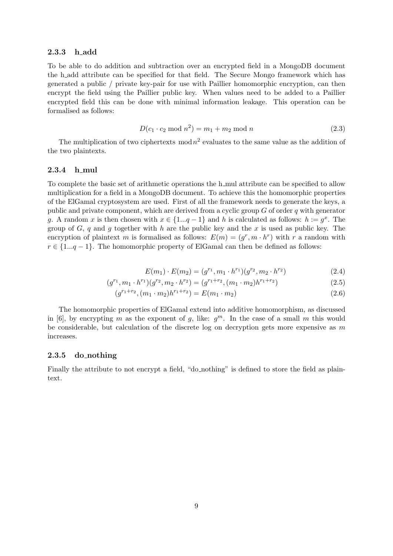#### <span id="page-10-0"></span>2.3.3 h add

To be able to do addition and subtraction over an encrypted field in a MongoDB document the h add attribute can be specified for that field. The Secure Mongo framework which has generated a public / private key-pair for use with Paillier homomorphic encryption, can then encrypt the field using the Paillier public key. When values need to be added to a Paillier encrypted field this can be done with minimal information leakage. This operation can be formalised as follows:

$$
D(c_1 \cdot c_2 \mod n^2) = m_1 + m_2 \mod n \tag{2.3}
$$

The multiplication of two ciphertexts mod  $n^2$  evaluates to the same value as the addition of the two plaintexts.

#### <span id="page-10-1"></span>2.3.4 h mul

To complete the basic set of arithmetic operations the h\_mul attribute can be specified to allow multiplication for a field in a MongoDB document. To achieve this the homomorphic properties of the ElGamal cryptosystem are used. First of all the framework needs to generate the keys, a public and private component, which are derived from a cyclic group  $G$  of order  $q$  with generator g. A random x is then chosen with  $x \in \{1...q-1\}$  and h is calculated as follows:  $h := g^x$ . The group of G, q and q together with h are the public key and the x is used as public key. The encryption of plaintext m is formalised as follows:  $E(m) = (g^r, m \cdot h^r)$  with r a random with  $r \in \{1...q-1\}$ . The homomorphic property of ElGamal can then be defined as follows:

$$
E(m_1) \cdot E(m_2) = (g^{r_1}, m_1 \cdot h^{r_1})(g^{r_2}, m_2 \cdot h^{r_2}) \tag{2.4}
$$

$$
(g^{r_1}, m_1 \cdot h^{r_1})(g^{r_2}, m_2 \cdot h^{r_2}) = (g^{r_1+r_2}, (m_1 \cdot m_2)h^{r_1+r_2})
$$
\n(2.5)

$$
(g^{r_1+r_2}, (m_1 \cdot m_2)h^{r_1+r_2}) = E(m_1 \cdot m_2)
$$
\n(2.6)

The homomorphic properties of ElGamal extend into additive homomorphism, as discussed in [\[6\]](#page-31-1), by encrypting m as the exponent of g, like:  $g^m$ . In the case of a small m this would be considerable, but calculation of the discrete log on decryption gets more expensive as  $m$ increases.

#### <span id="page-10-2"></span>2.3.5 do nothing

Finally the attribute to not encrypt a field, "do nothing" is defined to store the field as plaintext.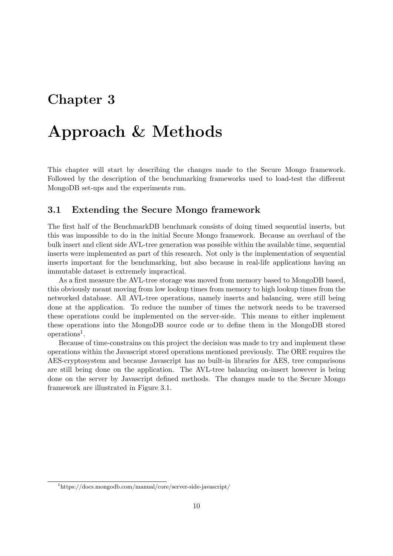# <span id="page-11-0"></span>Approach & Methods

This chapter will start by describing the changes made to the Secure Mongo framework. Followed by the description of the benchmarking frameworks used to load-test the different MongoDB set-ups and the experiments run.

### <span id="page-11-1"></span>3.1 Extending the Secure Mongo framework

The first half of the BenchmarkDB benchmark consists of doing timed sequential inserts, but this was impossible to do in the initial Secure Mongo framework. Because an overhaul of the bulk insert and client side AVL-tree generation was possible within the available time, sequential inserts were implemented as part of this research. Not only is the implementation of sequential inserts important for the benchmarking, but also because in real-life applications having an immutable dataset is extremely impractical.

As a first measure the AVL-tree storage was moved from memory based to MongoDB based, this obviously meant moving from low lookup times from memory to high lookup times from the networked database. All AVL-tree operations, namely inserts and balancing, were still being done at the application. To reduce the number of times the network needs to be traversed these operations could be implemented on the server-side. This means to either implement these operations into the MongoDB source code or to define them in the MongoDB stored operations<sup>[1](#page-0-0)</sup>.

Because of time-constrains on this project the decision was made to try and implement these operations within the Javascript stored operations mentioned previously. The ORE requires the AES-cryptosystem and because Javascript has no built-in libraries for AES, tree comparisons are still being done on the application. The AVL-tree balancing on-insert however is being done on the server by Javascript defined methods. The changes made to the Secure Mongo framework are illustrated in Figure [3.1.](#page-12-0)

<sup>1</sup>https://docs.mongodb.com/manual/core/server-side-javascript/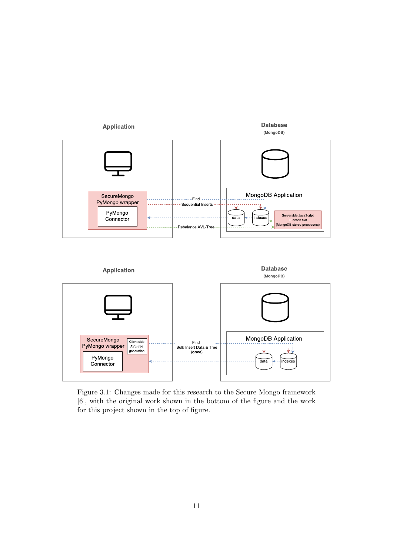<span id="page-12-0"></span>



Figure 3.1: Changes made for this research to the Secure Mongo framework [\[6\]](#page-31-1), with the original work shown in the bottom of the figure and the work for this project shown in the top of figure.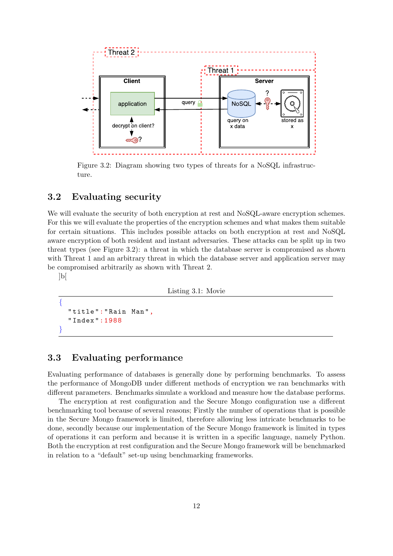<span id="page-13-2"></span>

Figure 3.2: Diagram showing two types of threats for a NoSQL infrastructure.

## <span id="page-13-0"></span>3.2 Evaluating security

We will evaluate the security of both encryption at rest and NoSQL-aware encryption schemes. For this we will evaluate the properties of the encryption schemes and what makes them suitable for certain situations. This includes possible attacks on both encryption at rest and NoSQL aware encryption of both resident and instant adversaries. These attacks can be split up in two threat types (see Figure [3.2\)](#page-13-2): a threat in which the database server is compromised as shown with Threat 1 and an arbitrary threat in which the database server and application server may be compromised arbitrarily as shown with Threat 2.

]b[

Listing 3.1: Movie

```
{
  " title ":" Rain Man",
  " Index ":1988
}
```
## <span id="page-13-1"></span>3.3 Evaluating performance

Evaluating performance of databases is generally done by performing benchmarks. To assess the performance of MongoDB under different methods of encryption we ran benchmarks with different parameters. Benchmarks simulate a workload and measure how the database performs.

The encryption at rest configuration and the Secure Mongo configuration use a different benchmarking tool because of several reasons; Firstly the number of operations that is possible in the Secure Mongo framework is limited, therefore allowing less intricate benchmarks to be done, secondly because our implementation of the Secure Mongo framework is limited in types of operations it can perform and because it is written in a specific language, namely Python. Both the encryption at rest configuration and the Secure Mongo framework will be benchmarked in relation to a "default" set-up using benchmarking frameworks.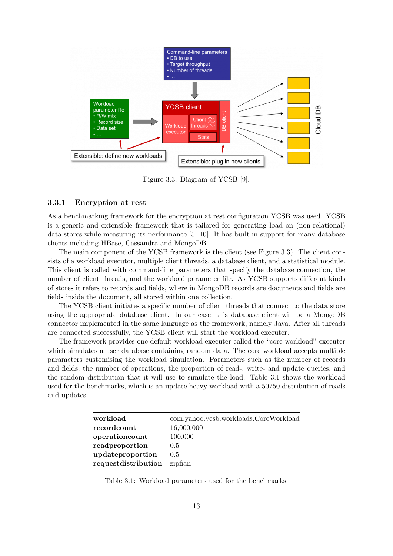<span id="page-14-1"></span>

Figure 3.3: Diagram of YCSB [\[9\]](#page-31-10).

#### <span id="page-14-0"></span>3.3.1 Encryption at rest

As a benchmarking framework for the encryption at rest configuration YCSB was used. YCSB is a generic and extensible framework that is tailored for generating load on (non-relational) data stores while measuring its performance [\[5,](#page-31-11) [10\]](#page-31-12). It has built-in support for many database clients including HBase, Cassandra and MongoDB.

The main component of the YCSB framework is the client (see Figure [3.3\)](#page-14-1). The client consists of a workload executor, multiple client threads, a database client, and a statistical module. This client is called with command-line parameters that specify the database connection, the number of client threads, and the workload parameter file. As YCSB supports different kinds of stores it refers to records and fields, where in MongoDB records are documents and fields are fields inside the document, all stored within one collection.

The YCSB client initiates a specific number of client threads that connect to the data store using the appropriate database client. In our case, this database client will be a MongoDB connector implemented in the same language as the framework, namely Java. After all threads are connected successfully, the YCSB client will start the workload executer.

The framework provides one default workload executer called the "core workload" executer which simulates a user database containing random data. The core workload accepts multiple parameters customising the workload simulation. Parameters such as the number of records and fields, the number of operations, the proportion of read-, write- and update queries, and the random distribution that it will use to simulate the load. Table [3.1](#page-14-2) shows the workload used for the benchmarks, which is an update heavy workload with a 50/50 distribution of reads and updates.

<span id="page-14-2"></span>

| workload            | com.yahoo.ycsb.workloads.CoreWorkload |
|---------------------|---------------------------------------|
| recordcount         | 16,000,000                            |
| operationcount      | 100,000                               |
| readproportion      | $0.5^{\circ}$                         |
| updateproportion    | $0.5^{\circ}$                         |
| requestdistribution | zipfian                               |

Table 3.1: Workload parameters used for the benchmarks.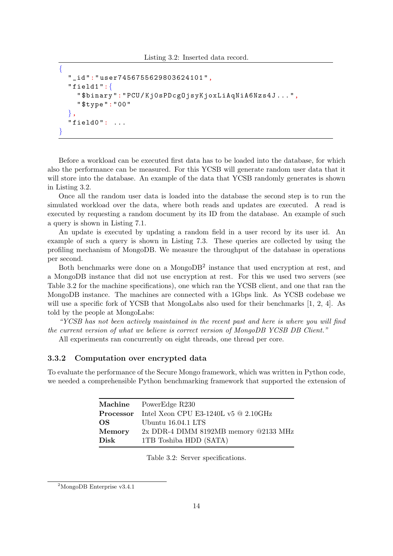```
{
  "_id":" user7456755629803624101 ",
  "field1": {
    " $binary ":"PCU/ Kj0sPDcgOjsyKjoxLiAqNiA6Nzs4J ...",
    " $type ":"00"
  },
  "field0" : ...}
```
Before a workload can be executed first data has to be loaded into the database, for which also the performance can be measured. For this YCSB will generate random user data that it will store into the database. An example of the data that YCSB randomly generates is shown in Listing [3.2.](#page-15-1)

Once all the random user data is loaded into the database the second step is to run the simulated workload over the data, where both reads and updates are executed. A read is executed by requesting a random document by its ID from the database. An example of such a query is shown in Listing [7.1.](#page-28-0)

An update is executed by updating a random field in a user record by its user id. An example of such a query is shown in Listing [7.3.](#page-30-0) These queries are collected by using the profiling mechanism of MongoDB. We measure the throughput of the database in operations per second.

Both benchmarks were done on a MongoDB<sup>[2](#page-0-0)</sup> instance that used encryption at rest, and a MongoDB instance that did not use encryption at rest. For this we used two servers (see Table [3.2](#page-15-2) for the machine specifications), one which ran the YCSB client, and one that ran the MongoDB instance. The machines are connected with a 1Gbps link. As YCSB codebase we will use a specific fork of YCSB that MongoLabs also used for their benchmarks [\[1,](#page-31-13) [2,](#page-31-5) [4\]](#page-31-14). As told by the people at MongoLabs:

"YCSB has not been actively maintained in the recent past and here is where you will find the current version of what we believe is correct version of MongoDB YCSB DB Client."

All experiments ran concurrently on eight threads, one thread per core.

#### <span id="page-15-0"></span>3.3.2 Computation over encrypted data

<span id="page-15-2"></span>To evaluate the performance of the Secure Mongo framework, which was written in Python code, we needed a comprehensible Python benchmarking framework that supported the extension of

|               | Machine PowerEdge R230                                |
|---------------|-------------------------------------------------------|
|               | <b>Processor</b> Intel Xeon CPU E3-1240L v5 @ 2.10GHz |
| OS –          | Ubuntu 16.04.1 LTS                                    |
| <b>Memory</b> | $2x$ DDR-4 DIMM 8192MB memory @2133 MHz               |
| Disk          | 1TB Toshiba HDD (SATA)                                |

Table 3.2: Server specifications.

<sup>2</sup>MongoDB Enterprise v3.4.1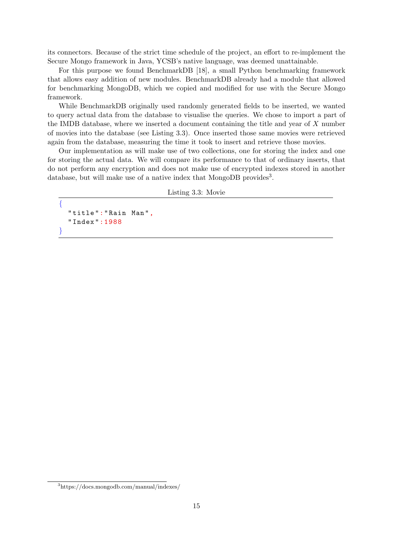its connectors. Because of the strict time schedule of the project, an effort to re-implement the Secure Mongo framework in Java, YCSB's native language, was deemed unattainable.

For this purpose we found BenchmarkDB [\[18\]](#page-32-12), a small Python benchmarking framework that allows easy addition of new modules. BenchmarkDB already had a module that allowed for benchmarking MongoDB, which we copied and modified for use with the Secure Mongo framework.

While BenchmarkDB originally used randomly generated fields to be inserted, we wanted to query actual data from the database to visualise the queries. We chose to import a part of the IMDB database, where we inserted a document containing the title and year of X number of movies into the database (see Listing [3.3\)](#page-16-0). Once inserted those same movies were retrieved again from the database, measuring the time it took to insert and retrieve those movies.

Our implementation as will make use of two collections, one for storing the index and one for storing the actual data. We will compare its performance to that of ordinary inserts, that do not perform any encryption and does not make use of encrypted indexes stored in another database, but will make use of a native index that MongoDB provides<sup>[3](#page-0-0)</sup>.

Listing 3.3: Movie

```
{
  " title ":" Rain Man",
  " Index ":1988
}
```
<sup>3</sup>https://docs.mongodb.com/manual/indexes/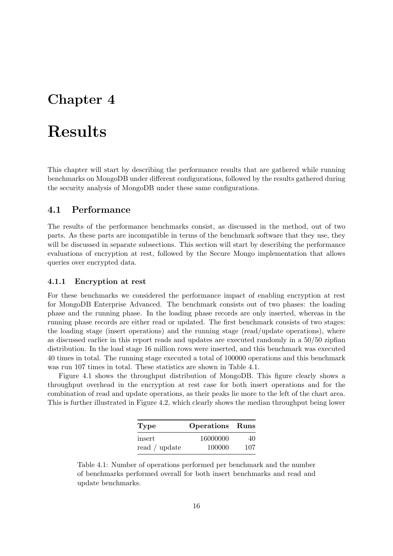# <span id="page-17-0"></span>Results

This chapter will start by describing the performance results that are gathered while running benchmarks on MongoDB under different configurations, followed by the results gathered during the security analysis of MongoDB under these same configurations.

### <span id="page-17-1"></span>4.1 Performance

The results of the performance benchmarks consist, as discussed in the method, out of two parts. As these parts are incompatible in terms of the benchmark software that they use, they will be discussed in separate subsections. This section will start by describing the performance evaluations of encryption at rest, followed by the Secure Mongo implementation that allows queries over encrypted data.

#### <span id="page-17-2"></span>4.1.1 Encryption at rest

For these benchmarks we considered the performance impact of enabling encryption at rest for MongoDB Enterprise Advanced. The benchmark consists out of two phases: the loading phase and the running phase. In the loading phase records are only inserted, whereas in the running phase records are either read or updated. The first benchmark consists of two stages: the loading stage (insert operations) and the running stage (read/update operations), where as discussed earlier in this report reads and updates are executed randomly in a 50/50 zipfian distribution. In the load stage 16 million rows were inserted, and this benchmark was executed 40 times in total. The running stage executed a total of 100000 operations and this benchmark was run 107 times in total. These statistics are shown in Table [4.1.](#page-17-3)

<span id="page-17-3"></span>Figure [4.1](#page-19-0) shows the throughput distribution of MongoDB. This figure clearly shows a throughput overhead in the encryption at rest case for both insert operations and for the combination of read and update operations, as their peaks lie more to the left of the chart area. This is further illustrated in Figure [4.2,](#page-19-1) which clearly shows the median throughput being lower

| Type                      | <b>Operations</b> Runs |     |
|---------------------------|------------------------|-----|
| insert                    | 16000000               | 40  |
| read $\frac{1}{1}$ update | 100000                 | 107 |

Table 4.1: Number of operations performed per benchmark and the number of benchmarks performed overall for both insert benchmarks and read and update benchmarks.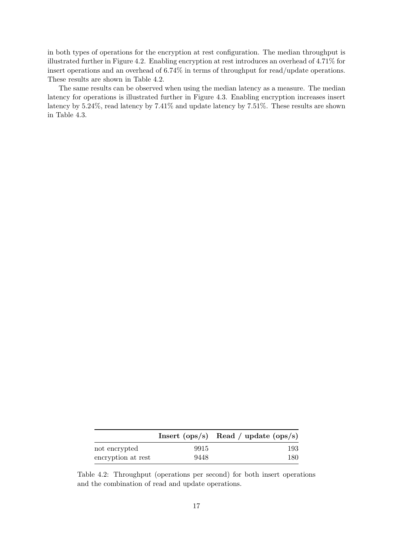in both types of operations for the encryption at rest configuration. The median throughput is illustrated further in Figure [4.2.](#page-19-1) Enabling encryption at rest introduces an overhead of 4.71% for insert operations and an overhead of 6.74% in terms of throughput for read/update operations. These results are shown in Table [4.2.](#page-18-0)

The same results can be observed when using the median latency as a measure. The median latency for operations is illustrated further in Figure [4.3.](#page-20-0) Enabling encryption increases insert latency by 5.24%, read latency by 7.41% and update latency by 7.51%. These results are shown in Table [4.3.](#page-20-1)

<span id="page-18-0"></span>

|                    |      | Insert $(ops/s)$ Read / update $(ops/s)$ |
|--------------------|------|------------------------------------------|
| not encrypted      | 9915 | 193                                      |
| encryption at rest | 9448 | 180                                      |

Table 4.2: Throughput (operations per second) for both insert operations and the combination of read and update operations.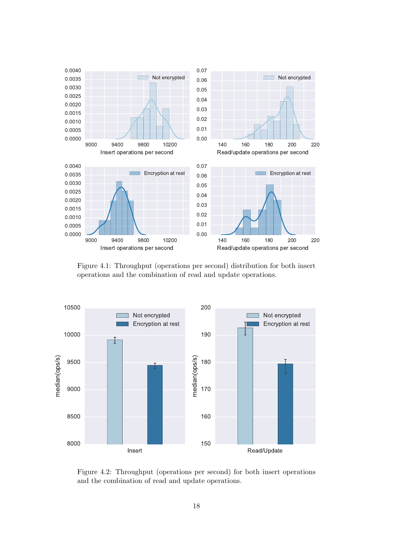<span id="page-19-0"></span>![](_page_19_Figure_0.jpeg)

Figure 4.1: Throughput (operations per second) distribution for both insert operations and the combination of read and update operations.

<span id="page-19-1"></span>![](_page_19_Figure_2.jpeg)

Figure 4.2: Throughput (operations per second) for both insert operations and the combination of read and update operations.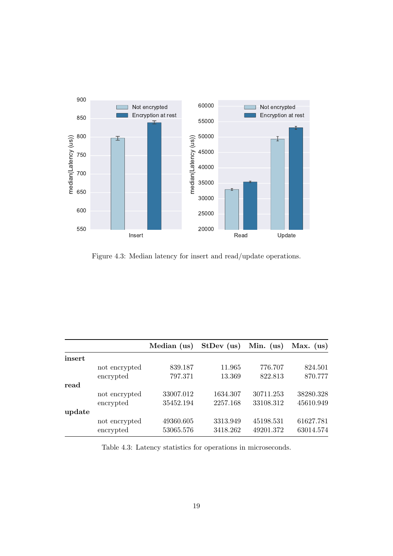<span id="page-20-0"></span>![](_page_20_Figure_0.jpeg)

Figure 4.3: Median latency for insert and read/update operations.

<span id="page-20-1"></span>

|        |               | Median (us) | StDev (us) | Min. $(us)$ | Max. $(us)$ |
|--------|---------------|-------------|------------|-------------|-------------|
| insert |               |             |            |             |             |
|        | not encrypted | 839.187     | 11.965     | 776.707     | 824.501     |
|        | encrypted     | 797.371     | 13.369     | 822.813     | 870.777     |
| read   |               |             |            |             |             |
|        | not encrypted | 33007.012   | 1634.307   | 30711.253   | 38280.328   |
|        | encrypted     | 35452.194   | 2257.168   | 33108.312   | 45610.949   |
| update |               |             |            |             |             |
|        | not encrypted | 49360.605   | 3313.949   | 45198.531   | 61627.781   |
|        | encrypted     | 53065.576   | 3418.262   | 49201.372   | 63014.574   |

Table 4.3: Latency statistics for operations in microseconds.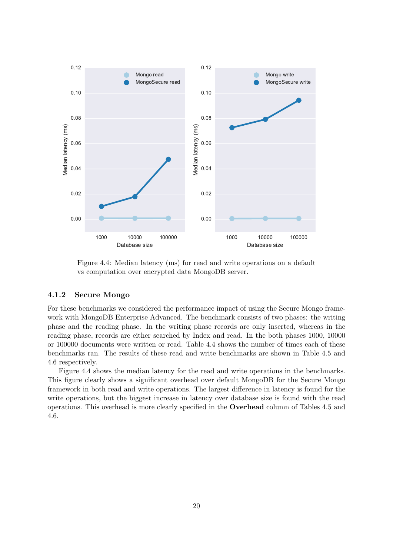<span id="page-21-1"></span>![](_page_21_Figure_0.jpeg)

Figure 4.4: Median latency (ms) for read and write operations on a default vs computation over encrypted data MongoDB server.

#### <span id="page-21-0"></span>4.1.2 Secure Mongo

For these benchmarks we considered the performance impact of using the Secure Mongo framework with MongoDB Enterprise Advanced. The benchmark consists of two phases: the writing phase and the reading phase. In the writing phase records are only inserted, whereas in the reading phase, records are either searched by Index and read. In the both phases 1000, 10000 or 100000 documents were written or read. Table [4.4](#page-22-0) shows the number of times each of these benchmarks ran. The results of these read and write benchmarks are shown in Table [4.5](#page-22-1) and [4.6](#page-22-2) respectively.

Figure [4.4](#page-21-1) shows the median latency for the read and write operations in the benchmarks. This figure clearly shows a significant overhead over default MongoDB for the Secure Mongo framework in both read and write operations. The largest difference in latency is found for the write operations, but the biggest increase in latency over database size is found with the read operations. This overhead is more clearly specified in the Overhead column of Tables [4.5](#page-22-1) and [4.6.](#page-22-2)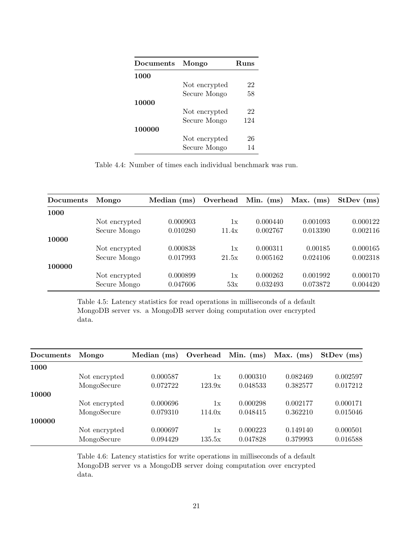<span id="page-22-0"></span>

| Documents | Mongo         | Runs |  |
|-----------|---------------|------|--|
| 1000      |               |      |  |
|           | Not encrypted | 22   |  |
|           | Secure Mongo  | 58   |  |
| 10000     |               |      |  |
|           | Not encrypted | 22   |  |
|           | Secure Mongo  | 124  |  |
| 100000    |               |      |  |
|           | Not encrypted | 26   |  |
|           | Secure Mongo  | 14   |  |

Table 4.4: Number of times each individual benchmark was run.

<span id="page-22-1"></span>

| Documents | Mongo         | Median (ms) | Overhead | Min. $(ms)$ | Max. $(ms)$ | $StDev$ (ms) |
|-----------|---------------|-------------|----------|-------------|-------------|--------------|
| 1000      |               |             |          |             |             |              |
|           | Not encrypted | 0.000903    | 1x       | 0.000440    | 0.001093    | 0.000122     |
|           | Secure Mongo  | 0.010280    | 11.4x    | 0.002767    | 0.013390    | 0.002116     |
| 10000     |               |             |          |             |             |              |
|           | Not encrypted | 0.000838    | 1x       | 0.000311    | 0.00185     | 0.000165     |
|           | Secure Mongo  | 0.017993    | 21.5x    | 0.005162    | 0.024106    | 0.002318     |
| 100000    |               |             |          |             |             |              |
|           | Not encrypted | 0.000899    | 1x       | 0.000262    | 0.001992    | 0.000170     |
|           | Secure Mongo  | 0.047606    | 53x      | 0.032493    | 0.073872    | 0.004420     |

Table 4.5: Latency statistics for read operations in milliseconds of a default MongoDB server vs. a MongoDB server doing computation over encrypted data.

<span id="page-22-2"></span>

| Documents | Mongo         | Median $(ms)$ | Overhead      | Min. $(ms)$ | Max. $(ms)$ | $StDev$ (ms) |
|-----------|---------------|---------------|---------------|-------------|-------------|--------------|
| 1000      |               |               |               |             |             |              |
|           | Not encrypted | 0.000587      | 1x            | 0.000310    | 0.082469    | 0.002597     |
|           | MongoSecure   | 0.072722      | 123.9x        | 0.048533    | 0.382577    | 0.017212     |
| 10000     |               |               |               |             |             |              |
|           | Not encrypted | 0.000696      | $1\mathrm{x}$ | 0.000298    | 0.002177    | 0.000171     |
|           | MongoSecure   | 0.079310      | 114.0x        | 0.048415    | 0.362210    | 0.015046     |
| 100000    |               |               |               |             |             |              |
|           | Not encrypted | 0.000697      | $1\mathrm{x}$ | 0.000223    | 0.149140    | 0.000501     |
|           | MongoSecure   | 0.094429      | 135.5x        | 0.047828    | 0.379993    | 0.016588     |

Table 4.6: Latency statistics for write operations in milliseconds of a default MongoDB server vs a MongoDB server doing computation over encrypted data.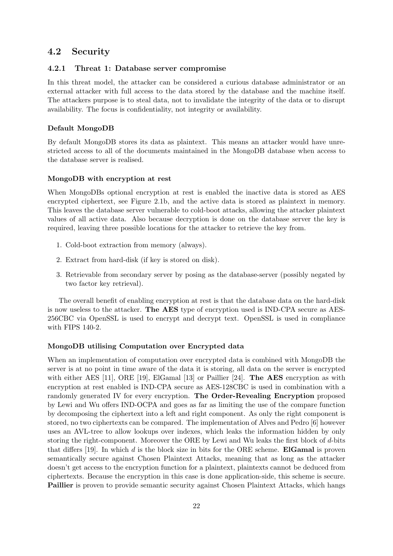# <span id="page-23-0"></span>4.2 Security

#### <span id="page-23-1"></span>4.2.1 Threat 1: Database server compromise

In this threat model, the attacker can be considered a curious database administrator or an external attacker with full access to the data stored by the database and the machine itself. The attackers purpose is to steal data, not to invalidate the integrity of the data or to disrupt availability. The focus is confidentiality, not integrity or availability.

#### Default MongoDB

By default MongoDB stores its data as plaintext. This means an attacker would have unrestricted access to all of the documents maintained in the MongoDB database when access to the database server is realised.

#### MongoDB with encryption at rest

When MongoDBs optional encryption at rest is enabled the inactive data is stored as AES encrypted ciphertext, see Figure [2.1b,](#page-6-3) and the active data is stored as plaintext in memory. This leaves the database server vulnerable to cold-boot attacks, allowing the attacker plaintext values of all active data. Also because decryption is done on the database server the key is required, leaving three possible locations for the attacker to retrieve the key from.

- 1. Cold-boot extraction from memory (always).
- 2. Extract from hard-disk (if key is stored on disk).
- 3. Retrievable from secondary server by posing as the database-server (possibly negated by two factor key retrieval).

The overall benefit of enabling encryption at rest is that the database data on the hard-disk is now useless to the attacker. The AES type of encryption used is IND-CPA secure as AES-256CBC via OpenSSL is used to encrypt and decrypt text. OpenSSL is used in compliance with FIPS 140-2.

#### MongoDB utilising Computation over Encrypted data

When an implementation of computation over encrypted data is combined with MongoDB the server is at no point in time aware of the data it is storing, all data on the server is encrypted with either AES [\[11\]](#page-31-3), ORE [\[19\]](#page-32-8), ElGamal [\[13\]](#page-31-9) or Paillier [\[24\]](#page-32-11). **The AES** encryption as with encryption at rest enabled is IND-CPA secure as AES-128CBC is used in combination with a randomly generated IV for every encryption. The Order-Revealing Encryption proposed by Lewi and Wu offers IND-OCPA and goes as far as limiting the use of the compare function by decomposing the ciphertext into a left and right component. As only the right component is stored, no two ciphertexts can be compared. The implementation of Alves and Pedro [\[6\]](#page-31-1) however uses an AVL-tree to allow lookups over indexes, which leaks the information hidden by only storing the right-component. Moreover the ORE by Lewi and Wu leaks the first block of d-bits that differs  $[19]$ . In which d is the block size in bits for the ORE scheme. **ElGamal** is proven semantically secure against Chosen Plaintext Attacks, meaning that as long as the attacker doesn't get access to the encryption function for a plaintext, plaintexts cannot be deduced from ciphertexts. Because the encryption in this case is done application-side, this scheme is secure. Paillier is proven to provide semantic security against Chosen Plaintext Attacks, which hangs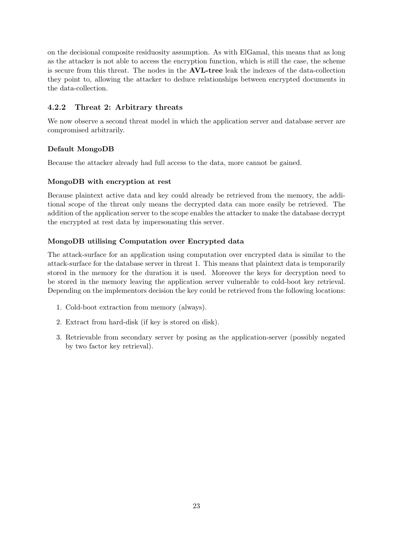on the decisional composite residuosity assumption. As with ElGamal, this means that as long as the attacker is not able to access the encryption function, which is still the case, the scheme is secure from this threat. The nodes in the AVL-tree leak the indexes of the data-collection they point to, allowing the attacker to deduce relationships between encrypted documents in the data-collection.

### <span id="page-24-0"></span>4.2.2 Threat 2: Arbitrary threats

We now observe a second threat model in which the application server and database server are compromised arbitrarily.

### Default MongoDB

Because the attacker already had full access to the data, more cannot be gained.

#### MongoDB with encryption at rest

Because plaintext active data and key could already be retrieved from the memory, the additional scope of the threat only means the decrypted data can more easily be retrieved. The addition of the application server to the scope enables the attacker to make the database decrypt the encrypted at rest data by impersonating this server.

### MongoDB utilising Computation over Encrypted data

The attack-surface for an application using computation over encrypted data is similar to the attack-surface for the database server in threat 1. This means that plaintext data is temporarily stored in the memory for the duration it is used. Moreover the keys for decryption need to be stored in the memory leaving the application server vulnerable to cold-boot key retrieval. Depending on the implementors decision the key could be retrieved from the following locations:

- 1. Cold-boot extraction from memory (always).
- 2. Extract from hard-disk (if key is stored on disk).
- 3. Retrievable from secondary server by posing as the application-server (possibly negated by two factor key retrieval).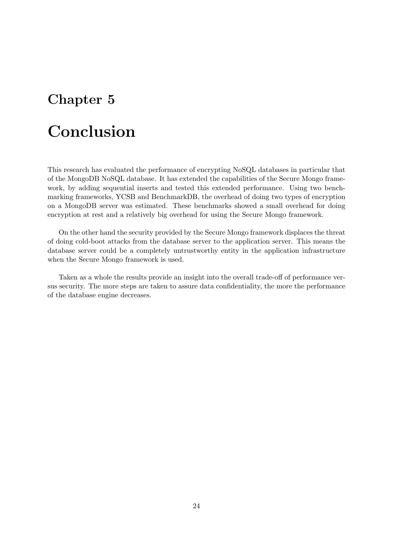# <span id="page-25-0"></span>Conclusion

This research has evaluated the performance of encrypting NoSQL databases in particular that of the MongoDB NoSQL database. It has extended the capabilities of the Secure Mongo framework, by adding sequential inserts and tested this extended performance. Using two benchmarking frameworks, YCSB and BenchmarkDB, the overhead of doing two types of encryption on a MongoDB server was estimated. These benchmarks showed a small overhead for doing encryption at rest and a relatively big overhead for using the Secure Mongo framework.

On the other hand the security provided by the Secure Mongo framework displaces the threat of doing cold-boot attacks from the database server to the application server. This means the database server could be a completely untrustworthy entity in the application infrastructure when the Secure Mongo framework is used.

Taken as a whole the results provide an insight into the overall trade-off of performance versus security. The more steps are taken to assure data confidentiality, the more the performance of the database engine decreases.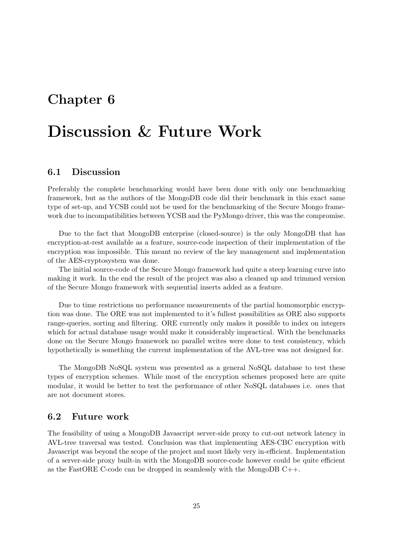# <span id="page-26-0"></span>Discussion & Future Work

## <span id="page-26-1"></span>6.1 Discussion

Preferably the complete benchmarking would have been done with only one benchmarking framework, but as the authors of the MongoDB code did their benchmark in this exact same type of set-up, and YCSB could not be used for the benchmarking of the Secure Mongo framework due to incompatibilities between YCSB and the PyMongo driver, this was the compromise.

Due to the fact that MongoDB enterprise (closed-source) is the only MongoDB that has encryption-at-rest available as a feature, source-code inspection of their implementation of the encryption was impossible. This meant no review of the key management and implementation of the AES-cryptosystem was done.

The initial source-code of the Secure Mongo framework had quite a steep learning curve into making it work. In the end the result of the project was also a cleaned up and trimmed version of the Secure Mongo framework with sequential inserts added as a feature.

Due to time restrictions no performance measurements of the partial homomorphic encryption was done. The ORE was not implemented to it's fullest possibilities as ORE also supports range-queries, sorting and filtering. ORE currently only makes it possible to index on integers which for actual database usage would make it considerably impractical. With the benchmarks done on the Secure Mongo framework no parallel writes were done to test consistency, which hypothetically is something the current implementation of the AVL-tree was not designed for.

The MongoDB NoSQL system was presented as a general NoSQL database to test these types of encryption schemes. While most of the encryption schemes proposed here are quite modular, it would be better to test the performance of other NoSQL databases i.e. ones that are not document stores.

## <span id="page-26-2"></span>6.2 Future work

The feasibility of using a MongoDB Javascript server-side proxy to cut-out network latency in AVL-tree traversal was tested. Conclusion was that implementing AES-CBC encryption with Javascript was beyond the scope of the project and most likely very in-efficient. Implementation of a server-side proxy built-in with the MongoDB source-code however could be quite efficient as the FastORE C-code can be dropped in seamlessly with the MongoDB C++.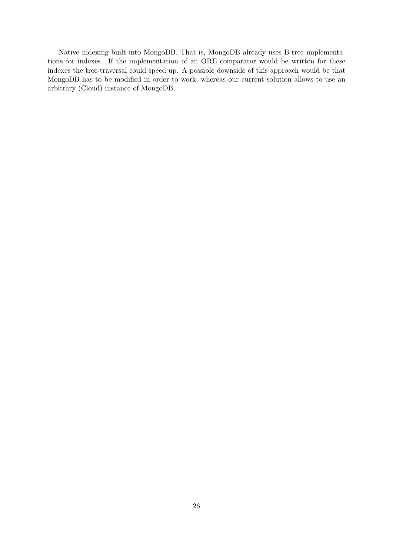Native indexing built into MongoDB. That is, MongoDB already uses B-tree implementations for indexes. If the implementation of an ORE comparator would be written for these indexes the tree-traversal could speed up. A possible downside of this approach would be that MongoDB has to be modified in order to work, whereas our current solution allows to use an arbitrary (Cloud) instance of MongoDB.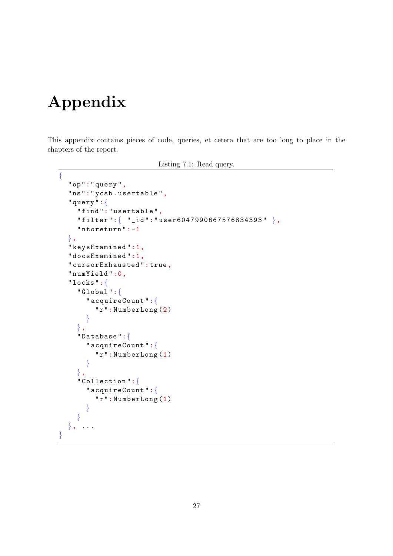# Appendix

This appendix contains pieces of code, queries, et cetera that are too long to place in the chapters of the report.

```
Listing 7.1: Read query.
```

```
{
  "op":" query ",
  "ns":" ycsb . usertable ",
  " query ":{
    " find ":" usertable ",
    " filter ":{ "_id":" user6047990667576834393 " },
    " ntoreturn ":-1
  },
  " keysExamined ":1,
  " docsExamined ":1,
  " cursorExhausted ": true ,
  " numYield ":0,
  " locks ":{
    " Global ":{
       " acquireCount ":{
         "r": NumberLong (2)
       }
     },
    " Database ":{
       " acquireCount ":{
         "r": NumberLong (1)
       }
    },
    " Collection ":{
       " acquireCount ":{
         "r": NumberLong (1)
       }
     }
  }, ...
}
```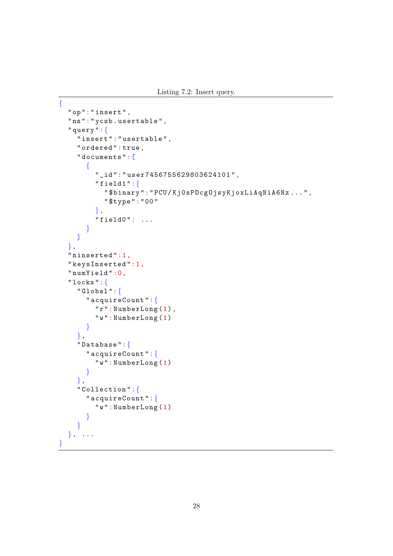```
{
  "op":" insert ",
  "ns":" ycsb . usertable ",
  " query ":{
    " insert ":" usertable ",
    " ordered ": true ,
    " documents ":[
       {
         "_id":" user7456755629803624101 ",
         " field1":\{" $binary ":"PCU/ Kj0sPDcgOjsyKjoxLiAqNiA6Nz ...",
           " $type ":"00"
         },
         "field0" : ...}
    ]
  },
  " ninserted ":1,
  " keysInserted ":1,
  " numYield ":0,
  " locks ":{
    "Global" :" acquireCount ":{
         "r": NumberLong (1),
         "w": NumberLong (1)
       }
    },
    " Database ":{
       " acquireCount ":{
         "w": NumberLong (1)
      }
    },
    " Collection ":{
       " acquireCount ":{
         "w": NumberLong (1)
       }
    }
  }, ...
```
}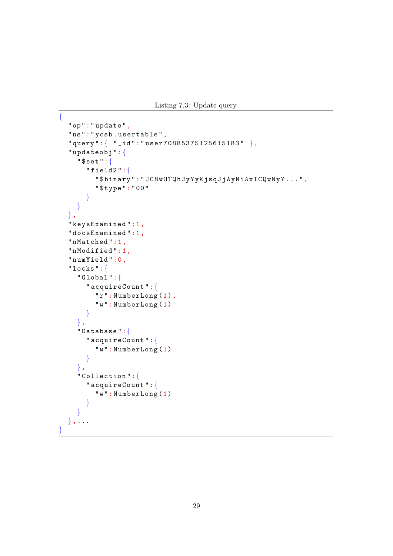```
{
  "op":" update ",
  "ns":" ycsb . usertable ",
  " query ":{ "_id":" user70885375125615183 " },
  " updateobj ":{
    " $set ":{
       " field2 ":{
         " $binary ":" JC8wOTQhJyYyKjsqJjAyNiAxICQwNyY ...",
         " $type ":"00"
       }
    }
  },
  " keysExamined ":1,
  " docsExamined ":1,
  " nMatched ":1,
  " nModified ":1,
  " numYield ":0,
  " locks ":{
    " Global ":{
       " acquireCount ":{
         "r": NumberLong (1),
         "w": NumberLong (1)
       }
    },
    " Database ":{
       " acquireCount ":{
         "w": NumberLong (1)
       }
    },
    " Collection ":{
       " acquireCount ":{
         "w": NumberLong (1)
       }
    }
  \}, . . .
}
```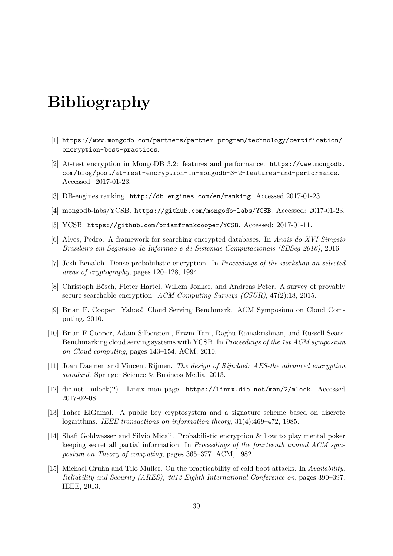# Bibliography

- <span id="page-31-13"></span>[1] [https://www.mongodb.com/partners/partner-program/technology/certification/](https://www.mongodb.com/partners/partner-program/technology/certification/encryption-best-practices) [encryption-best-practices](https://www.mongodb.com/partners/partner-program/technology/certification/encryption-best-practices).
- <span id="page-31-5"></span>[2] At-test encryption in MongoDB 3.2: features and performance. [https://www.mongodb.](https://www.mongodb.com/blog/post/at-rest-encryption-in-mongodb-3-2-features-and-performance) [com/blog/post/at-rest-encryption-in-mongodb-3-2-features-and-performance](https://www.mongodb.com/blog/post/at-rest-encryption-in-mongodb-3-2-features-and-performance). Accessed: 2017-01-23.
- <span id="page-31-0"></span>[3] DB-engines ranking. <http://db-engines.com/en/ranking>. Accessed 2017-01-23.
- <span id="page-31-14"></span>[4] mongodb-labs/YCSB. <https://github.com/mongodb-labs/YCSB>. Accessed: 2017-01-23.
- <span id="page-31-11"></span>[5] YCSB. <https://github.com/brianfrankcooper/YCSB>. Accessed: 2017-01-11.
- <span id="page-31-1"></span>[6] Alves, Pedro. A framework for searching encrypted databases. In Anais do XVI Simpsio Brasileiro em Segurana da Informao e de Sistemas Computacionais (SBSeg 2016), 2016.
- <span id="page-31-8"></span>[7] Josh Benaloh. Dense probabilistic encryption. In Proceedings of the workshop on selected areas of cryptography, pages 120–128, 1994.
- <span id="page-31-2"></span>[8] Christoph Bösch, Pieter Hartel, Willem Jonker, and Andreas Peter. A survey of provably secure searchable encryption. ACM Computing Surveys (CSUR), 47(2):18, 2015.
- <span id="page-31-10"></span>[9] Brian F. Cooper. Yahoo! Cloud Serving Benchmark. ACM Symposium on Cloud Computing, 2010.
- <span id="page-31-12"></span>[10] Brian F Cooper, Adam Silberstein, Erwin Tam, Raghu Ramakrishnan, and Russell Sears. Benchmarking cloud serving systems with YCSB. In Proceedings of the 1st ACM symposium on Cloud computing, pages 143–154. ACM, 2010.
- <span id="page-31-3"></span>[11] Joan Daemen and Vincent Rijmen. The design of Rijndael: AES-the advanced encryption standard. Springer Science & Business Media, 2013.
- <span id="page-31-6"></span>[12] die.net. mlock(2) - Linux man page. <https://linux.die.net/man/2/mlock>. Accessed 2017-02-08.
- <span id="page-31-9"></span>[13] Taher ElGamal. A public key cryptosystem and a signature scheme based on discrete logarithms. IEEE transactions on information theory, 31(4):469–472, 1985.
- <span id="page-31-7"></span>[14] Shafi Goldwasser and Silvio Micali. Probabilistic encryption & how to play mental poker keeping secret all partial information. In Proceedings of the fourteenth annual ACM symposium on Theory of computing, pages 365–377. ACM, 1982.
- <span id="page-31-4"></span>[15] Michael Gruhn and Tilo Muller. On the practicability of cold boot attacks. In Availability, Reliability and Security (ARES), 2013 Eighth International Conference on, pages 390–397. IEEE, 2013.